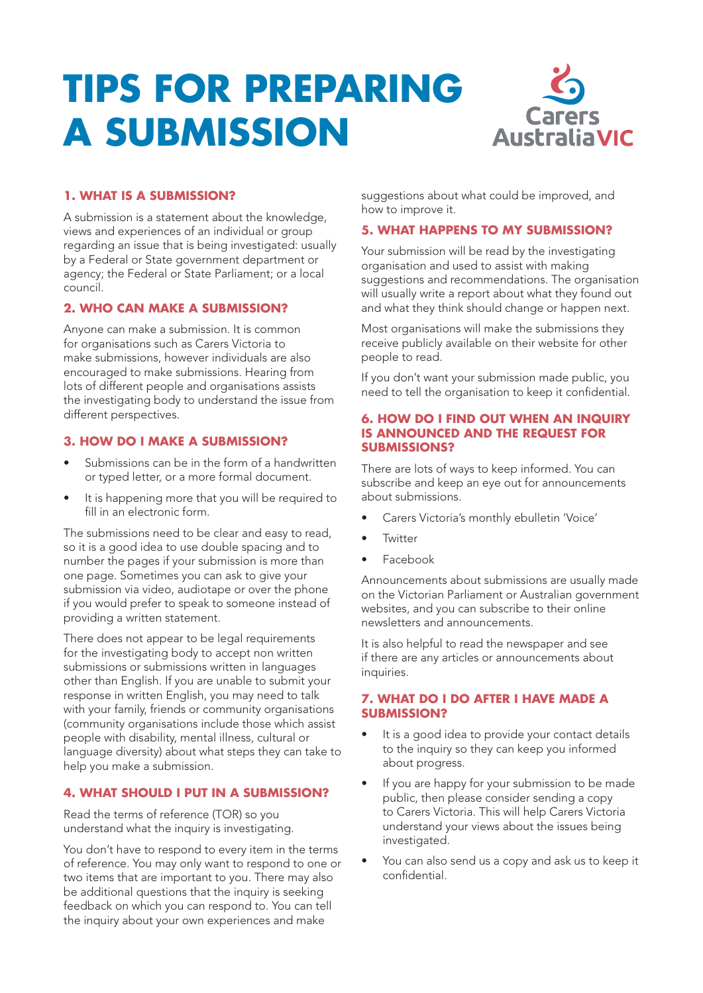# **TIPS FOR PREPARING A SUBMISSION**



## **1. WHAT IS A SUBMISSION?**

A submission is a statement about the knowledge, views and experiences of an individual or group regarding an issue that is being investigated: usually by a Federal or State government department or agency; the Federal or State Parliament; or a local council.

## **2. WHO CAN MAKE A SUBMISSION?**

Anyone can make a submission. It is common for organisations such as Carers Victoria to make submissions, however individuals are also encouraged to make submissions. Hearing from lots of different people and organisations assists the investigating body to understand the issue from different perspectives.

## **3. HOW DO I MAKE A SUBMISSION?**

- Submissions can be in the form of a handwritten or typed letter, or a more formal document.
- It is happening more that you will be required to fill in an electronic form.

The submissions need to be clear and easy to read, so it is a good idea to use double spacing and to number the pages if your submission is more than one page. Sometimes you can ask to give your submission via video, audiotape or over the phone if you would prefer to speak to someone instead of providing a written statement.

There does not appear to be legal requirements for the investigating body to accept non written submissions or submissions written in languages other than English. If you are unable to submit your response in written English, you may need to talk with your family, friends or community organisations (community organisations include those which assist people with disability, mental illness, cultural or language diversity) about what steps they can take to help you make a submission.

## **4. WHAT SHOULD I PUT IN A SUBMISSION?**

Read the terms of reference (TOR) so you understand what the inquiry is investigating.

You don't have to respond to every item in the terms of reference. You may only want to respond to one or two items that are important to you. There may also be additional questions that the inquiry is seeking feedback on which you can respond to. You can tell the inquiry about your own experiences and make

suggestions about what could be improved, and how to improve it.

## **5. WHAT HAPPENS TO MY SUBMISSION?**

Your submission will be read by the investigating organisation and used to assist with making suggestions and recommendations. The organisation will usually write a report about what they found out and what they think should change or happen next.

Most organisations will make the submissions they receive publicly available on their website for other people to read.

If you don't want your submission made public, you need to tell the organisation to keep it confidential.

### **6. HOW DO I FIND OUT WHEN AN INQUIRY IS ANNOUNCED AND THE REQUEST FOR SUBMISSIONS?**

There are lots of ways to keep informed. You can subscribe and keep an eye out for announcements about submissions.

- Carers Victoria's monthly ebulletin 'Voice'
- **Twitter**
- Facebook

Announcements about submissions are usually made on the Victorian Parliament or Australian government websites, and you can subscribe to their online newsletters and announcements.

It is also helpful to read the newspaper and see if there are any articles or announcements about inquiries.

## **7. WHAT DO I DO AFTER I HAVE MADE A SUBMISSION?**

- It is a good idea to provide your contact details to the inquiry so they can keep you informed about progress.
- If you are happy for your submission to be made public, then please consider sending a copy to Carers Victoria. This will help Carers Victoria understand your views about the issues being investigated.
- You can also send us a copy and ask us to keep it confidential.